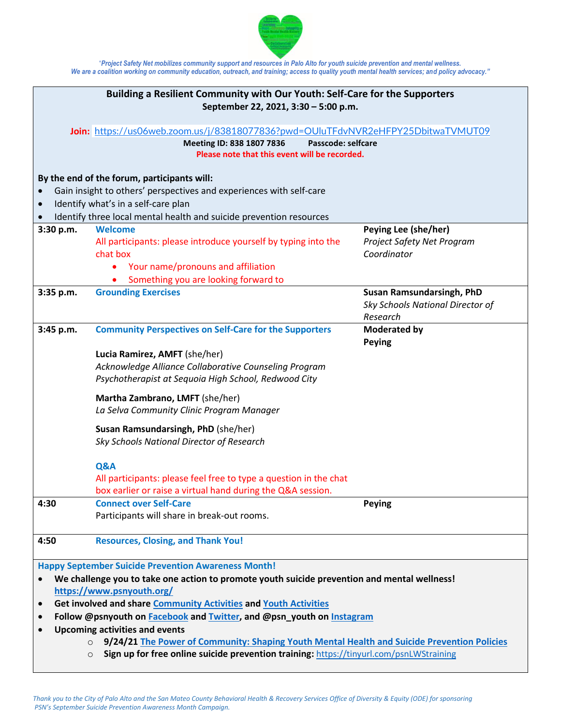

"*Project Safety Net mobilizes community support and resources in Palo Alto for youth suicide prevention and mental wellness. We are a coalition working on community education, outreach, and training; access to quality youth mental health services; and policy advocacy."*

| Building a Resilient Community with Our Youth: Self-Care for the Supporters                                                 |                                                                            |                                           |
|-----------------------------------------------------------------------------------------------------------------------------|----------------------------------------------------------------------------|-------------------------------------------|
| September 22, 2021, 3:30 - 5:00 p.m.                                                                                        |                                                                            |                                           |
| Join: https://us06web.zoom.us/j/83818077836?pwd=OUluTFdvNVR2eHFPY25DbitwaTVMUT09                                            |                                                                            |                                           |
| Meeting ID: 838 1807 7836<br><b>Passcode: selfcare</b>                                                                      |                                                                            |                                           |
| Please note that this event will be recorded.                                                                               |                                                                            |                                           |
| By the end of the forum, participants will:                                                                                 |                                                                            |                                           |
| Gain insight to others' perspectives and experiences with self-care                                                         |                                                                            |                                           |
| Identify what's in a self-care plan                                                                                         |                                                                            |                                           |
|                                                                                                                             | Identify three local mental health and suicide prevention resources        |                                           |
| 3:30 p.m.                                                                                                                   | <b>Welcome</b>                                                             | Peying Lee (she/her)                      |
|                                                                                                                             | All participants: please introduce yourself by typing into the<br>chat box | Project Safety Net Program<br>Coordinator |
|                                                                                                                             | Your name/pronouns and affiliation                                         |                                           |
|                                                                                                                             | Something you are looking forward to                                       |                                           |
| 3:35 p.m.                                                                                                                   | <b>Grounding Exercises</b>                                                 | Susan Ramsundarsingh, PhD                 |
|                                                                                                                             |                                                                            | Sky Schools National Director of          |
|                                                                                                                             |                                                                            | Research                                  |
| 3:45 p.m.                                                                                                                   | <b>Community Perspectives on Self-Care for the Supporters</b>              | <b>Moderated by</b>                       |
|                                                                                                                             | Lucia Ramirez, AMFT (she/her)                                              | <b>Peying</b>                             |
|                                                                                                                             | Acknowledge Alliance Collaborative Counseling Program                      |                                           |
|                                                                                                                             | Psychotherapist at Sequoia High School, Redwood City                       |                                           |
|                                                                                                                             | Martha Zambrano, LMFT (she/her)                                            |                                           |
|                                                                                                                             | La Selva Community Clinic Program Manager                                  |                                           |
|                                                                                                                             | Susan Ramsundarsingh, PhD (she/her)                                        |                                           |
|                                                                                                                             | Sky Schools National Director of Research                                  |                                           |
|                                                                                                                             | Q&A                                                                        |                                           |
|                                                                                                                             | All participants: please feel free to type a question in the chat          |                                           |
|                                                                                                                             | box earlier or raise a virtual hand during the Q&A session.                |                                           |
| 4:30                                                                                                                        | <b>Connect over Self-Care</b>                                              | Peying                                    |
|                                                                                                                             | Participants will share in break-out rooms.                                |                                           |
| 4:50                                                                                                                        | <b>Resources, Closing, and Thank You!</b>                                  |                                           |
| <b>Happy September Suicide Prevention Awareness Month!</b>                                                                  |                                                                            |                                           |
| We challenge you to take one action to promote youth suicide prevention and mental wellness!                                |                                                                            |                                           |
| https://www.psnyouth.org/                                                                                                   |                                                                            |                                           |
| Get involved and share Community Activities and Youth Activities<br>$\bullet$                                               |                                                                            |                                           |
| Follow @psnyouth on Facebook and Twitter, and @psn_youth on Instagram<br>$\bullet$<br><b>Upcoming activities and events</b> |                                                                            |                                           |
| 9/24/21 The Power of Community: Shaping Youth Mental Health and Suicide Prevention Policies<br>$\Omega$                     |                                                                            |                                           |
| Sign up for free online suicide prevention training: https://tinyurl.com/psnLWStraining<br>$\circ$                          |                                                                            |                                           |
|                                                                                                                             |                                                                            |                                           |